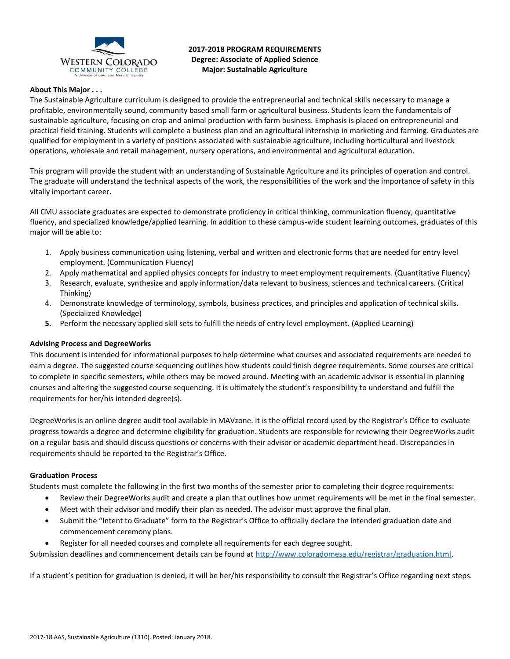

**2017-2018 PROGRAM REQUIREMENTS Degree: Associate of Applied Science Major: Sustainable Agriculture** 

# **About This Major . . .**

The Sustainable Agriculture curriculum is designed to provide the entrepreneurial and technical skills necessary to manage a profitable, environmentally sound, community based small farm or agricultural business. Students learn the fundamentals of sustainable agriculture, focusing on crop and animal production with farm business. Emphasis is placed on entrepreneurial and practical field training. Students will complete a business plan and an agricultural internship in marketing and farming. Graduates are qualified for employment in a variety of positions associated with sustainable agriculture, including horticultural and livestock operations, wholesale and retail management, nursery operations, and environmental and agricultural education.

This program will provide the student with an understanding of Sustainable Agriculture and its principles of operation and control. The graduate will understand the technical aspects of the work, the responsibilities of the work and the importance of safety in this vitally important career.

All CMU associate graduates are expected to demonstrate proficiency in critical thinking, communication fluency, quantitative fluency, and specialized knowledge/applied learning. In addition to these campus-wide student learning outcomes, graduates of this major will be able to:

- 1. Apply business communication using listening, verbal and written and electronic forms that are needed for entry level employment. (Communication Fluency)
- 2. Apply mathematical and applied physics concepts for industry to meet employment requirements. (Quantitative Fluency)
- 3. Research, evaluate, synthesize and apply information/data relevant to business, sciences and technical careers. (Critical Thinking)
- 4. Demonstrate knowledge of terminology, symbols, business practices, and principles and application of technical skills. (Specialized Knowledge)
- **5.** Perform the necessary applied skill sets to fulfill the needs of entry level employment. (Applied Learning)

# **Advising Process and DegreeWorks**

This document is intended for informational purposes to help determine what courses and associated requirements are needed to earn a degree. The suggested course sequencing outlines how students could finish degree requirements. Some courses are critical to complete in specific semesters, while others may be moved around. Meeting with an academic advisor is essential in planning courses and altering the suggested course sequencing. It is ultimately the student's responsibility to understand and fulfill the requirements for her/his intended degree(s).

DegreeWorks is an online degree audit tool available in MAVzone. It is the official record used by the Registrar's Office to evaluate progress towards a degree and determine eligibility for graduation. Students are responsible for reviewing their DegreeWorks audit on a regular basis and should discuss questions or concerns with their advisor or academic department head. Discrepancies in requirements should be reported to the Registrar's Office.

### **Graduation Process**

Students must complete the following in the first two months of the semester prior to completing their degree requirements:

- Review their DegreeWorks audit and create a plan that outlines how unmet requirements will be met in the final semester.
- Meet with their advisor and modify their plan as needed. The advisor must approve the final plan.
- Submit the "Intent to Graduate" form to the Registrar's Office to officially declare the intended graduation date and commencement ceremony plans.
- Register for all needed courses and complete all requirements for each degree sought.

Submission deadlines and commencement details can be found at [http://www.coloradomesa.edu/registrar/graduation.html.](http://www.coloradomesa.edu/registrar/graduation.html)

If a student's petition for graduation is denied, it will be her/his responsibility to consult the Registrar's Office regarding next steps.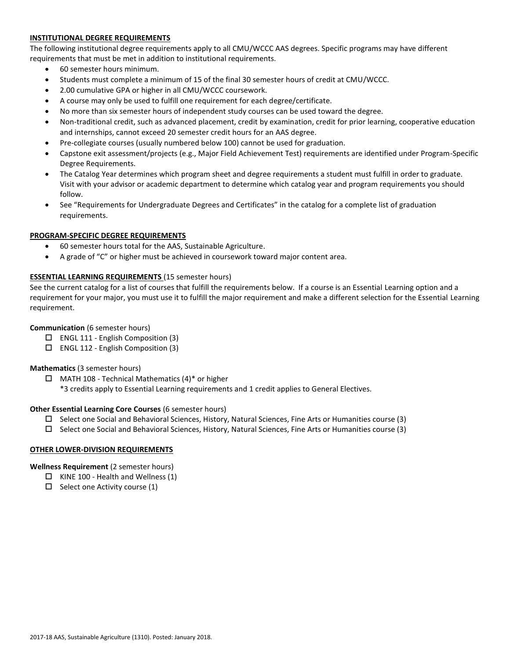# **INSTITUTIONAL DEGREE REQUIREMENTS**

The following institutional degree requirements apply to all CMU/WCCC AAS degrees. Specific programs may have different requirements that must be met in addition to institutional requirements.

- 60 semester hours minimum.
- Students must complete a minimum of 15 of the final 30 semester hours of credit at CMU/WCCC.
- 2.00 cumulative GPA or higher in all CMU/WCCC coursework.
- A course may only be used to fulfill one requirement for each degree/certificate.
- No more than six semester hours of independent study courses can be used toward the degree.
- Non-traditional credit, such as advanced placement, credit by examination, credit for prior learning, cooperative education and internships, cannot exceed 20 semester credit hours for an AAS degree.
- Pre-collegiate courses (usually numbered below 100) cannot be used for graduation.
- Capstone exit assessment/projects (e.g., Major Field Achievement Test) requirements are identified under Program-Specific Degree Requirements.
- The Catalog Year determines which program sheet and degree requirements a student must fulfill in order to graduate. Visit with your advisor or academic department to determine which catalog year and program requirements you should follow.
- See "Requirements for Undergraduate Degrees and Certificates" in the catalog for a complete list of graduation requirements.

# **PROGRAM-SPECIFIC DEGREE REQUIREMENTS**

- 60 semester hours total for the AAS, Sustainable Agriculture.
- A grade of "C" or higher must be achieved in coursework toward major content area.

## **ESSENTIAL LEARNING REQUIREMENTS** (15 semester hours)

See the current catalog for a list of courses that fulfill the requirements below. If a course is an Essential Learning option and a requirement for your major, you must use it to fulfill the major requirement and make a different selection for the Essential Learning requirement.

# **Communication** (6 semester hours)

- $\Box$  ENGL 111 English Composition (3)
- $\Box$  ENGL 112 English Composition (3)

# **Mathematics** (3 semester hours)

- $\Box$  MATH 108 Technical Mathematics (4)\* or higher
	- \*3 credits apply to Essential Learning requirements and 1 credit applies to General Electives.

### **Other Essential Learning Core Courses** (6 semester hours)

- $\Box$  Select one Social and Behavioral Sciences, History, Natural Sciences, Fine Arts or Humanities course (3)
- $\square$  Select one Social and Behavioral Sciences, History, Natural Sciences, Fine Arts or Humanities course (3)

### **OTHER LOWER-DIVISION REQUIREMENTS**

# **Wellness Requirement** (2 semester hours)

- $\Box$  KINE 100 Health and Wellness (1)
- $\Box$  Select one Activity course (1)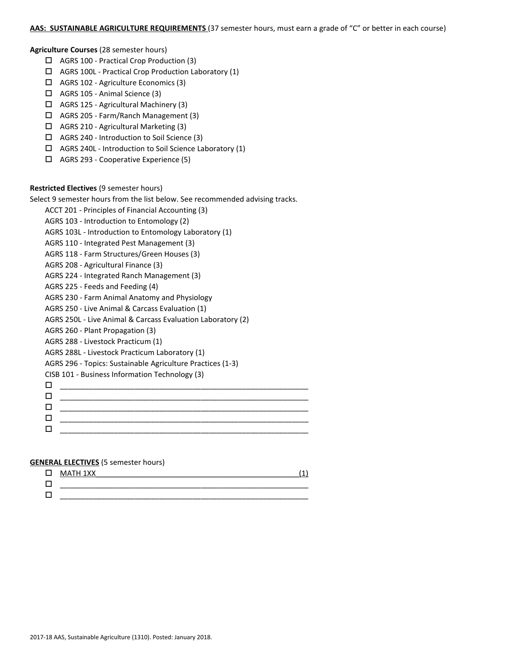### **AAS: SUSTAINABLE AGRICULTURE REQUIREMENTS** (37 semester hours, must earn a grade of "C" or better in each course)

#### **Agriculture Courses** (28 semester hours)

- AGRS 100 Practical Crop Production (3)
- $\Box$  AGRS 100L Practical Crop Production Laboratory (1)
- AGRS 102 Agriculture Economics (3)
- $\Box$  AGRS 105 Animal Science (3)
- AGRS 125 Agricultural Machinery (3)
- AGRS 205 Farm/Ranch Management (3)
- AGRS 210 Agricultural Marketing (3)
- AGRS 240 Introduction to Soil Science (3)
- AGRS 240L Introduction to Soil Science Laboratory (1)
- AGRS 293 Cooperative Experience (5)

### **Restricted Electives** (9 semester hours)

Select 9 semester hours from the list below. See recommended advising tracks.

ACCT 201 - Principles of Financial Accounting (3)

- AGRS 103 Introduction to Entomology (2)
- AGRS 103L Introduction to Entomology Laboratory (1)
- AGRS 110 Integrated Pest Management (3)
- AGRS 118 Farm Structures/Green Houses (3)
- AGRS 208 Agricultural Finance (3)
- AGRS 224 Integrated Ranch Management (3)
- AGRS 225 Feeds and Feeding (4)
- AGRS 230 Farm Animal Anatomy and Physiology
- AGRS 250 Live Animal & Carcass Evaluation (1)
- AGRS 250L Live Animal & Carcass Evaluation Laboratory (2)
- AGRS 260 Plant Propagation (3)
- AGRS 288 Livestock Practicum (1)
- AGRS 288L Livestock Practicum Laboratory (1)
- AGRS 296 Topics: Sustainable Agriculture Practices (1-3)
- CISB 101 Business Information Technology (3)

| ________________ |
|------------------|
|                  |
|                  |
|                  |

### **GENERAL ELECTIVES** (5 semester hours)

| $\Box$ MATH 1XX |  |
|-----------------|--|
|                 |  |
|                 |  |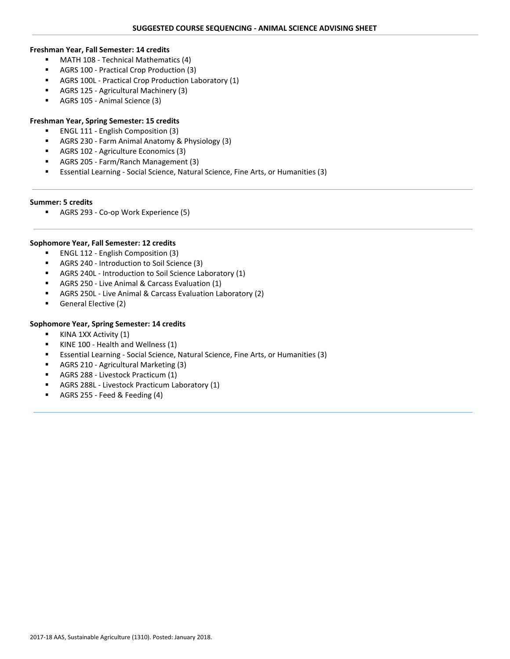- **MATH 108 Technical Mathematics (4)**
- AGRS 100 Practical Crop Production (3)
- AGRS 100L Practical Crop Production Laboratory (1)
- AGRS 125 Agricultural Machinery (3)
- AGRS 105 Animal Science (3)

### **Freshman Year, Spring Semester: 15 credits**

- **ENGL 111 English Composition (3)**
- AGRS 230 Farm Animal Anatomy & Physiology (3)
- AGRS 102 Agriculture Economics (3)
- AGRS 205 Farm/Ranch Management (3)
- Essential Learning Social Science, Natural Science, Fine Arts, or Humanities (3)

### **Summer: 5 credits**

AGRS 293 - Co-op Work Experience (5)

### **Sophomore Year, Fall Semester: 12 credits**

- ENGL 112 English Composition (3)
- AGRS 240 Introduction to Soil Science (3)
- AGRS 240L Introduction to Soil Science Laboratory (1)
- AGRS 250 Live Animal & Carcass Evaluation (1)
- AGRS 250L Live Animal & Carcass Evaluation Laboratory (2)
- General Elective (2)

### **Sophomore Year, Spring Semester: 14 credits**

- KINA 1XX Activity (1)
- KINE 100 Health and Wellness (1)
- Essential Learning Social Science, Natural Science, Fine Arts, or Humanities (3)
- AGRS 210 Agricultural Marketing (3)
- AGRS 288 Livestock Practicum (1)
- AGRS 288L Livestock Practicum Laboratory (1)
- AGRS 255 Feed & Feeding (4)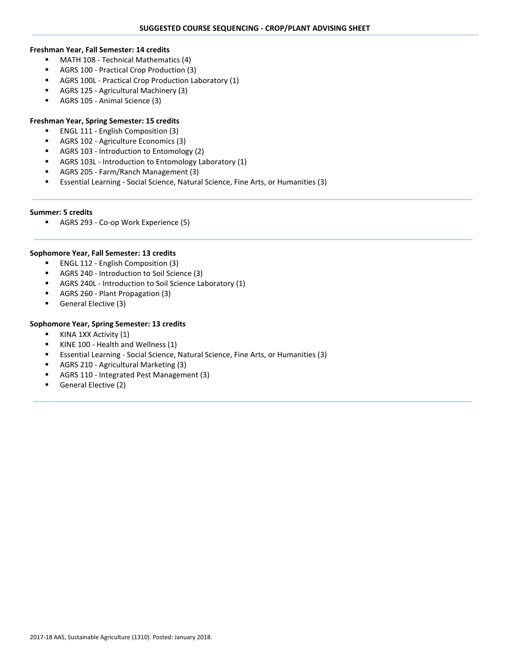- **MATH 108 Technical Mathematics (4)**
- AGRS 100 Practical Crop Production (3)
- AGRS 100L Practical Crop Production Laboratory (1)
- AGRS 125 Agricultural Machinery (3)
- AGRS 105 Animal Science (3)

# **Freshman Year, Spring Semester: 15 credits**

- **ENGL 111 English Composition (3)**
- AGRS 102 Agriculture Economics (3)
- **AGRS 103 Introduction to Entomology (2)**
- AGRS 103L Introduction to Entomology Laboratory (1)
- AGRS 205 Farm/Ranch Management (3)
- Essential Learning Social Science, Natural Science, Fine Arts, or Humanities (3)

### **Summer: 5 credits**

AGRS 293 - Co-op Work Experience (5)

### **Sophomore Year, Fall Semester: 13 credits**

- ENGL 112 English Composition (3)
- AGRS 240 Introduction to Soil Science (3)
- AGRS 240L Introduction to Soil Science Laboratory (1)
- AGRS 260 Plant Propagation (3)
- General Elective (3)

### **Sophomore Year, Spring Semester: 13 credits**

- KINA 1XX Activity (1)
- KINE 100 Health and Wellness (1)
- Essential Learning Social Science, Natural Science, Fine Arts, or Humanities (3)
- AGRS 210 Agricultural Marketing (3)
- AGRS 110 Integrated Pest Management (3)
- **General Elective (2)**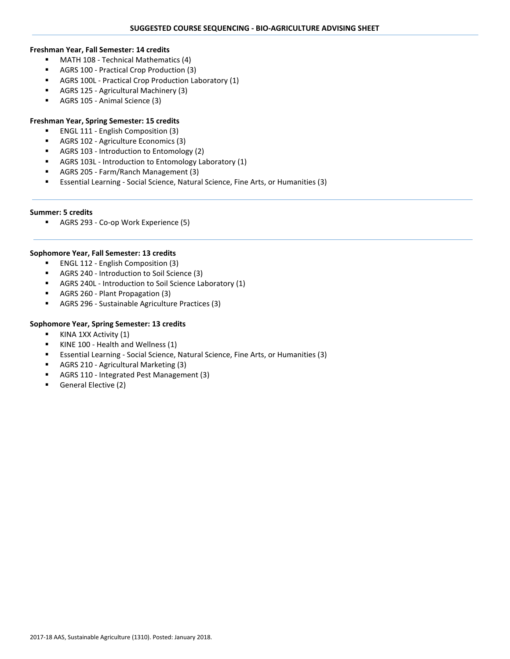- **MATH 108 Technical Mathematics (4)**
- AGRS 100 Practical Crop Production (3)
- AGRS 100L Practical Crop Production Laboratory (1)
- AGRS 125 Agricultural Machinery (3)
- AGRS 105 Animal Science (3)

# **Freshman Year, Spring Semester: 15 credits**

- **ENGL 111 English Composition (3)**
- AGRS 102 Agriculture Economics (3)
- AGRS 103 Introduction to Entomology (2)
- AGRS 103L Introduction to Entomology Laboratory (1)
- AGRS 205 Farm/Ranch Management (3)
- Essential Learning Social Science, Natural Science, Fine Arts, or Humanities (3)

### **Summer: 5 credits**

AGRS 293 - Co-op Work Experience (5)

### **Sophomore Year, Fall Semester: 13 credits**

- ENGL 112 English Composition (3)
- AGRS 240 Introduction to Soil Science (3)
- AGRS 240L Introduction to Soil Science Laboratory (1)
- AGRS 260 Plant Propagation (3)
- AGRS 296 Sustainable Agriculture Practices (3)

### **Sophomore Year, Spring Semester: 13 credits**

- KINA 1XX Activity (1)
- KINE 100 Health and Wellness (1)
- Essential Learning Social Science, Natural Science, Fine Arts, or Humanities (3)
- AGRS 210 Agricultural Marketing (3)
- AGRS 110 Integrated Pest Management (3)
- **General Elective (2)**